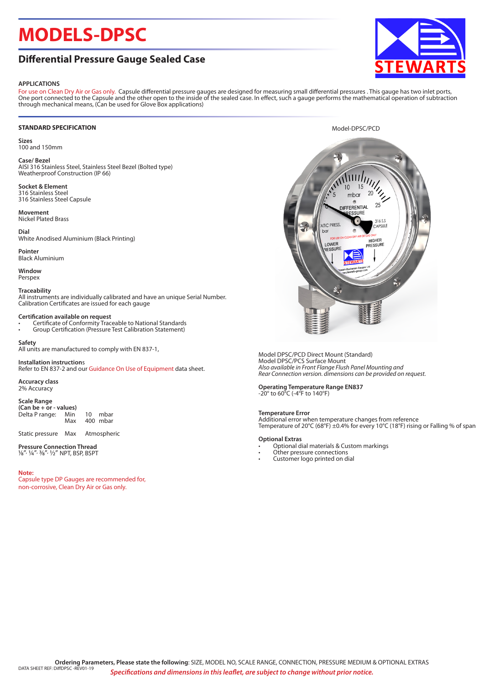# **MODELS-DPSC**

## **Differential Pressure Gauge Sealed Case**

## **APPLICATIONS**

For use on Clean Dry Air or Gas only. Capsule differential pressure gauges are designed for measuring small differential pressures . This gauge has two inlet ports, One port connected to the Capsule and the other open to the inside of the sealed case. In effect, such a gauge performs the mathematical operation of subtraction through mechanical means, (Can be used for Glove Box applications)

## **STANDARD SPECIFICATION**

**Sizes** 100 and 150mm

## **Case/ Bezel**

AISI 316 Stainless Steel, Stainless Steel Bezel (Bolted type) Weatherproof Construction (IP 66)

**Socket & Element** 316 Stainless Steel 316 Stainless Steel Capsule

**Movement** Nickel Plated Brass

## **Dial** White Anodised Aluminium (Black Printing)

**Pointer** Black Aluminium

**Window** Perspex

## **Traceability**

All instruments are individually calibrated and have an unique Serial Number. Calibration Certificates are issued for each gauge

## **Certification available on request**

- Certificate of Conformity Traceable to National Standards
- Group Certification (Pressure Test Calibration Statement)

## **Safety**

All units are manufactured to comply with EN 837-1,

**Installation instruction**s Refer to EN 837-2 and our Guidance On Use of Equipment data sheet.

**Accuracy class** 2% Accuracy

## **Scale Range**

**(Can be + or - values)** Delta P range: Min 10 mbar 400 mbar

Static pressure Max Atmospheric

#### **Pressure Connection Thread** 1/8", ¼", 3/8", 1/2" NPT, BSP, BSPT

### **Note:**

Capsule type DP Gauges are recommended for, non-corrosive, Clean Dry Air or Gas only.



#### Model DPSC/PCD Direct Mount (Standard) Model DPSC/PCS Surface Mount *Also available in Front Flange Flush Panel Mounting and Rear Connection version. dimensions can be provided on request.*

**Operating Temperature Range EN837** -20° to 60°C (-4°F to 140°F)

## **Temperature Error**

Additional error when temperature changes from reference Temperature of 20°C (68°F) ±0.4% for every 10°C (18°F) rising or Falling % of span

### **Optional Extras**

- Optional dial materials & Custom markings
- Other pressure connections
- Customer logo printed on dial